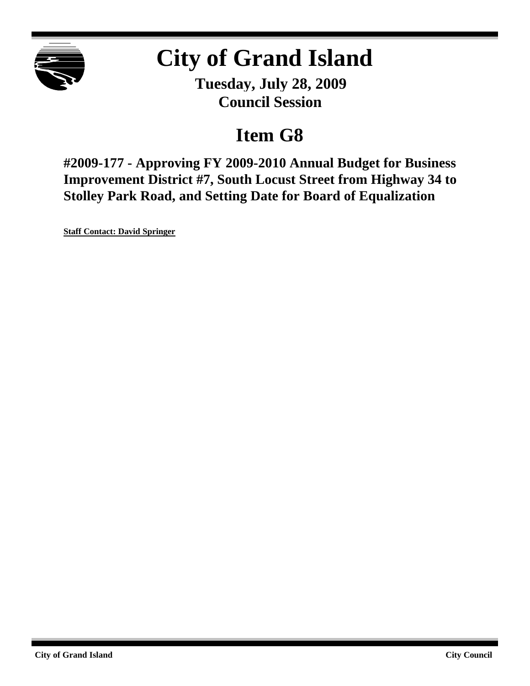

# **City of Grand Island**

**Tuesday, July 28, 2009 Council Session**

# **Item G8**

**#2009-177 - Approving FY 2009-2010 Annual Budget for Business Improvement District #7, South Locust Street from Highway 34 to Stolley Park Road, and Setting Date for Board of Equalization**

**Staff Contact: David Springer**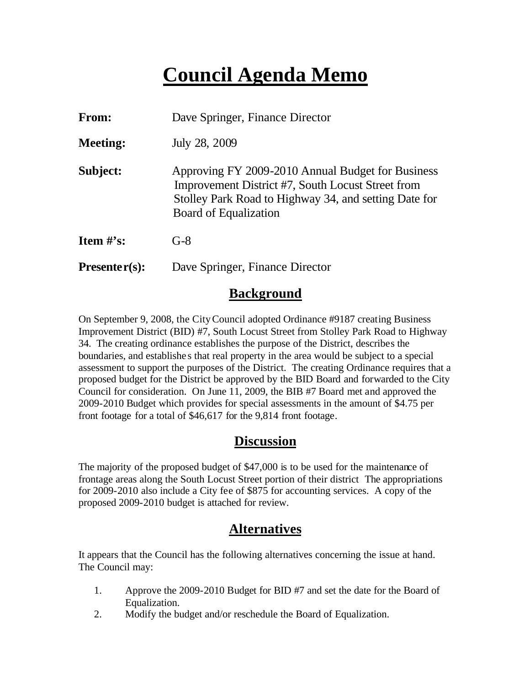# **Council Agenda Memo**

| From:           | Dave Springer, Finance Director                                                                                                                                                          |  |  |  |
|-----------------|------------------------------------------------------------------------------------------------------------------------------------------------------------------------------------------|--|--|--|
| <b>Meeting:</b> | July 28, 2009                                                                                                                                                                            |  |  |  |
| Subject:        | Approving FY 2009-2010 Annual Budget for Business<br>Improvement District #7, South Locust Street from<br>Stolley Park Road to Highway 34, and setting Date for<br>Board of Equalization |  |  |  |
| Item $#$ 's:    | $G-8$                                                                                                                                                                                    |  |  |  |
| $Presenter(s):$ | Dave Springer, Finance Director                                                                                                                                                          |  |  |  |

### **Background**

On September 9, 2008, the City Council adopted Ordinance #9187 creating Business Improvement District (BID) #7, South Locust Street from Stolley Park Road to Highway 34. The creating ordinance establishes the purpose of the District, describes the boundaries, and establishe s that real property in the area would be subject to a special assessment to support the purposes of the District. The creating Ordinance requires that a proposed budget for the District be approved by the BID Board and forwarded to the City Council for consideration. On June 11, 2009, the BIB #7 Board met and approved the 2009-2010 Budget which provides for special assessments in the amount of \$4.75 per front footage for a total of \$46,617 for the 9,814 front footage.

### **Discussion**

The majority of the proposed budget of \$47,000 is to be used for the maintenance of frontage areas along the South Locust Street portion of their district The appropriations for 2009-2010 also include a City fee of \$875 for accounting services. A copy of the proposed 2009-2010 budget is attached for review.

### **Alternatives**

It appears that the Council has the following alternatives concerning the issue at hand. The Council may:

- 1. Approve the 2009-2010 Budget for BID #7 and set the date for the Board of Equalization.
- 2. Modify the budget and/or reschedule the Board of Equalization.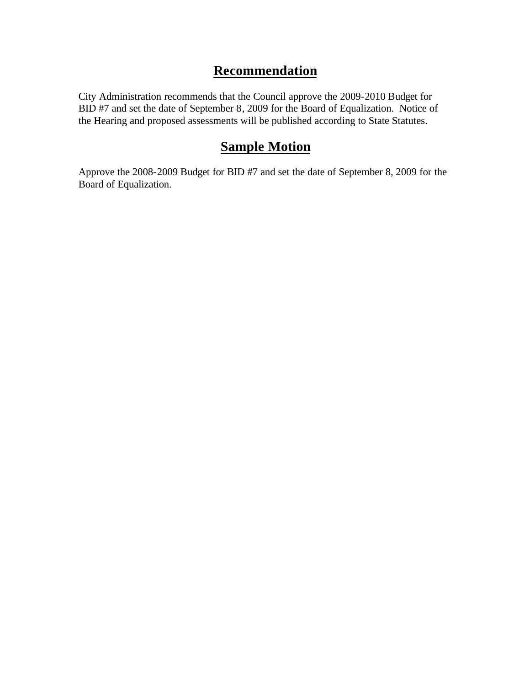### **Recommendation**

City Administration recommends that the Council approve the 2009-2010 Budget for BID #7 and set the date of September 8, 2009 for the Board of Equalization. Notice of the Hearing and proposed assessments will be published according to State Statutes.

## **Sample Motion**

Approve the 2008-2009 Budget for BID #7 and set the date of September 8, 2009 for the Board of Equalization.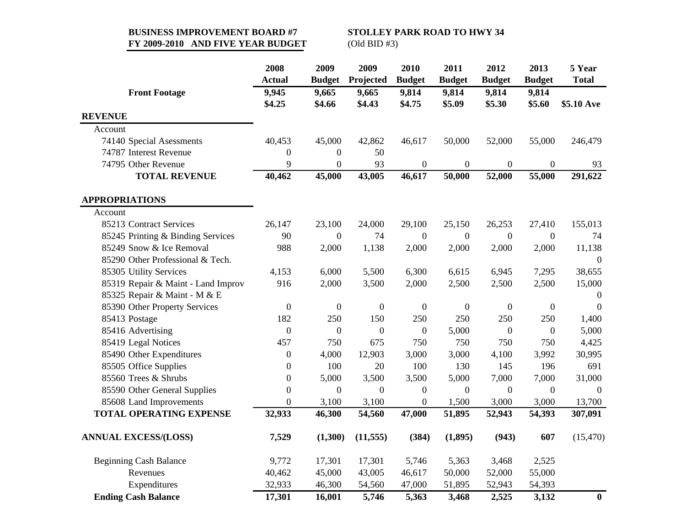#### **BUSINESS IMPROVEMENT BOARD #7 STOLLEY PARK ROAD TO HWY 34 FY 2009-2010 AND FIVE YEAR BUDGET** (Old BID #3)

|                                    | 2008<br><b>Actual</b> | 2009<br><b>Budget</b> | 2009<br>Projected | 2010<br><b>Budget</b> | 2011<br><b>Budget</b> | 2012<br><b>Budget</b> | 2013<br><b>Budget</b> | 5 Year<br><b>Total</b> |
|------------------------------------|-----------------------|-----------------------|-------------------|-----------------------|-----------------------|-----------------------|-----------------------|------------------------|
| <b>Front Footage</b>               | 9,945                 | 9,665                 | 9,665             | 9,814                 | 9,814                 | 9,814                 | 9,814                 |                        |
|                                    | \$4.25                | \$4.66                | \$4.43            | \$4.75                | \$5.09                | \$5.30                | \$5.60                | \$5.10 Ave             |
| <b>REVENUE</b>                     |                       |                       |                   |                       |                       |                       |                       |                        |
| Account                            |                       |                       |                   |                       |                       |                       |                       |                        |
| 74140 Special Asessments           | 40,453                | 45,000                | 42,862            | 46,617                | 50,000                | 52,000                | 55,000                | 246,479                |
| 74787 Interest Revenue             | $\boldsymbol{0}$      | $\boldsymbol{0}$      | 50                |                       |                       |                       |                       |                        |
| 74795 Other Revenue                | 9                     | $\boldsymbol{0}$      | 93                | $\boldsymbol{0}$      | $\boldsymbol{0}$      | $\boldsymbol{0}$      | $\boldsymbol{0}$      | 93                     |
| <b>TOTAL REVENUE</b>               | 40,462                | 45,000                | 43,005            | 46,617                | 50,000                | 52,000                | 55,000                | 291,622                |
| <b>APPROPRIATIONS</b>              |                       |                       |                   |                       |                       |                       |                       |                        |
| Account                            |                       |                       |                   |                       |                       |                       |                       |                        |
| 85213 Contract Services            | 26,147                | 23,100                | 24,000            | 29,100                | 25,150                | 26,253                | 27,410                | 155,013                |
| 85245 Printing & Binding Services  | 90                    | $\mathbf{0}$          | 74                | $\mathbf{0}$          | $\mathbf{0}$          | $\overline{0}$        | $\overline{0}$        | 74                     |
| 85249 Snow & Ice Removal           | 988                   | 2,000                 | 1,138             | 2,000                 | 2,000                 | 2,000                 | 2,000                 | 11,138                 |
| 85290 Other Professional & Tech.   |                       |                       |                   |                       |                       |                       |                       | $\theta$               |
| 85305 Utility Services             | 4,153                 | 6,000                 | 5,500             | 6,300                 | 6,615                 | 6,945                 | 7,295                 | 38,655                 |
| 85319 Repair & Maint - Land Improv | 916                   | 2,000                 | 3,500             | 2,000                 | 2,500                 | 2,500                 | 2,500                 | 15,000                 |
| 85325 Repair & Maint - M & E       |                       |                       |                   |                       |                       |                       |                       | $\overline{0}$         |
| 85390 Other Property Services      | $\boldsymbol{0}$      | $\mathbf{0}$          | $\boldsymbol{0}$  | $\mathbf{0}$          | $\boldsymbol{0}$      | $\mathbf{0}$          | $\boldsymbol{0}$      | $\overline{0}$         |
| 85413 Postage                      | 182                   | 250                   | 150               | 250                   | 250                   | 250                   | 250                   | 1,400                  |
| 85416 Advertising                  | $\boldsymbol{0}$      | $\boldsymbol{0}$      | $\boldsymbol{0}$  | $\boldsymbol{0}$      | 5,000                 | $\boldsymbol{0}$      | $\boldsymbol{0}$      | 5,000                  |
| 85419 Legal Notices                | 457                   | 750                   | 675               | 750                   | 750                   | 750                   | 750                   | 4,425                  |
| 85490 Other Expenditures           | $\boldsymbol{0}$      | 4,000                 | 12,903            | 3,000                 | 3,000                 | 4,100                 | 3,992                 | 30,995                 |
| 85505 Office Supplies              | $\boldsymbol{0}$      | 100                   | 20                | 100                   | 130                   | 145                   | 196                   | 691                    |
| 85560 Trees & Shrubs               | $\boldsymbol{0}$      | 5,000                 | 3,500             | 3,500                 | 5,000                 | 7,000                 | 7,000                 | 31,000                 |
| 85590 Other General Supplies       | $\boldsymbol{0}$      | $\boldsymbol{0}$      | $\boldsymbol{0}$  | $\boldsymbol{0}$      | $\boldsymbol{0}$      | $\overline{0}$        | $\boldsymbol{0}$      | $\boldsymbol{0}$       |
| 85608 Land Improvements            | $\overline{0}$        | 3,100                 | 3,100             | $\boldsymbol{0}$      | 1,500                 | 3,000                 | 3,000                 | 13,700                 |
| <b>TOTAL OPERATING EXPENSE</b>     | 32,933                | 46,300                | 54,560            | 47,000                | 51,895                | 52,943                | 54,393                | 307,091                |
| <b>ANNUAL EXCESS/(LOSS)</b>        | 7,529                 | (1,300)               | (11, 555)         | (384)                 | (1, 895)              | (943)                 | 607                   | (15, 470)              |
| <b>Beginning Cash Balance</b>      | 9,772                 | 17,301                | 17,301            | 5,746                 | 5,363                 | 3,468                 | 2,525                 |                        |
| Revenues                           | 40,462                | 45,000                | 43,005            | 46,617                | 50,000                | 52,000                | 55,000                |                        |
| Expenditures                       | 32,933                | 46,300                | 54,560            | 47,000                | 51,895                | 52,943                | 54,393                |                        |
| <b>Ending Cash Balance</b>         | 17,301                | 16,001                | 5,746             | 5,363                 | 3,468                 | 2,525                 | 3,132                 | $\bf{0}$               |